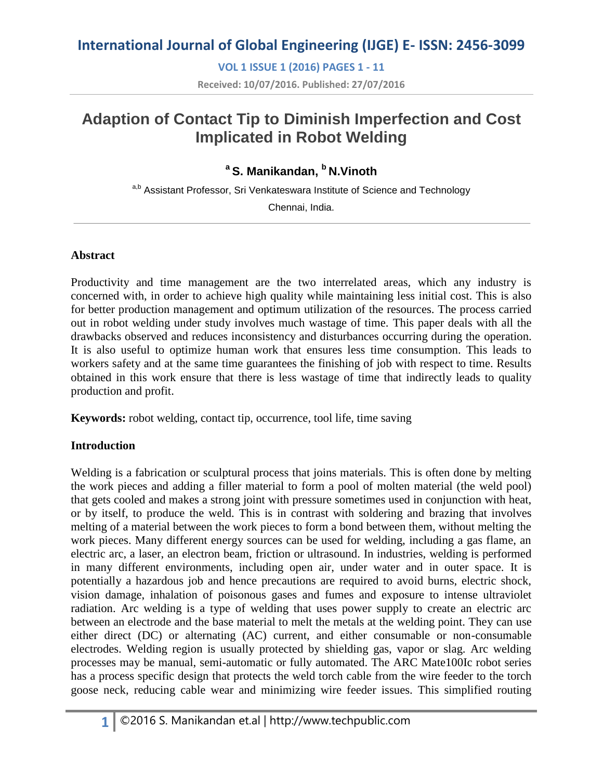**VOL 1 ISSUE 1 (2016) PAGES 1 - 11**

**Received: 10/07/2016. Published: 27/07/2016**

# **Adaption of Contact Tip to Diminish Imperfection and Cost Implicated in Robot Welding**

# **<sup>a</sup>S. Manikandan, <sup>b</sup>N.Vinoth**

a,b Assistant Professor, Sri Venkateswara Institute of Science and Technology

Chennai, India.

### **Abstract**

Productivity and time management are the two interrelated areas, which any industry is concerned with, in order to achieve high quality while maintaining less initial cost. This is also for better production management and optimum utilization of the resources. The process carried out in robot welding under study involves much wastage of time. This paper deals with all the drawbacks observed and reduces inconsistency and disturbances occurring during the operation. It is also useful to optimize human work that ensures less time consumption. This leads to workers safety and at the same time guarantees the finishing of job with respect to time. Results obtained in this work ensure that there is less wastage of time that indirectly leads to quality production and profit.

**Keywords:** robot welding, contact tip, occurrence, tool life, time saving

## **Introduction**

Welding is a fabrication or sculptural process that joins materials. This is often done by melting the work pieces and adding a filler material to form a pool of molten material (the weld pool) that gets cooled and makes a strong joint with pressure sometimes used in conjunction with heat, or by itself, to produce the weld. This is in contrast with soldering and brazing that involves melting of a material between the work pieces to form a bond between them, without melting the work pieces. Many different energy sources can be used for welding, including a gas flame, an electric arc, a laser, an electron beam, friction or ultrasound. In industries, welding is performed in many different environments, including open air, under water and in outer space. It is potentially a hazardous job and hence precautions are required to avoid burns, electric shock, vision damage, inhalation of poisonous gases and fumes and exposure to intense ultraviolet radiation. Arc welding is a type of welding that uses power supply to create an electric arc between an electrode and the base material to melt the metals at the welding point. They can use either direct (DC) or alternating (AC) current, and either consumable or non-consumable electrodes. Welding region is usually protected by shielding gas, vapor or slag. Arc welding processes may be manual, semi-automatic or fully automated. The ARC Mate100Ic robot series has a process specific design that protects the weld torch cable from the wire feeder to the torch goose neck, reducing cable wear and minimizing wire feeder issues. This simplified routing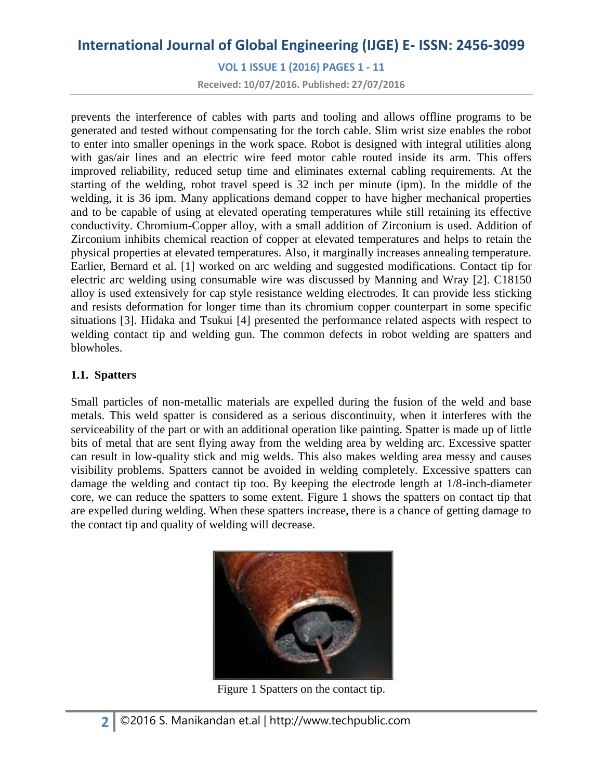**VOL 1 ISSUE 1 (2016) PAGES 1 - 11**

**Received: 10/07/2016. Published: 27/07/2016**

prevents the interference of cables with parts and tooling and allows offline programs to be generated and tested without compensating for the torch cable. Slim wrist size enables the robot to enter into smaller openings in the work space. Robot is designed with integral utilities along with gas/air lines and an electric wire feed motor cable routed inside its arm. This offers improved reliability, reduced setup time and eliminates external cabling requirements. At the starting of the welding, robot travel speed is 32 inch per minute (ipm). In the middle of the welding, it is 36 ipm. Many applications demand copper to have higher mechanical properties and to be capable of using at elevated operating temperatures while still retaining its effective conductivity. Chromium-Copper alloy, with a small addition of Zirconium is used. Addition of Zirconium inhibits chemical reaction of copper at elevated temperatures and helps to retain the physical properties at elevated temperatures. Also, it marginally increases annealing temperature. Earlier, Bernard et al. [1] worked on arc welding and suggested modifications. Contact tip for electric arc welding using consumable wire was discussed by Manning and Wray [2]. C18150 alloy is used extensively for cap style resistance welding electrodes. It can provide less sticking and resists deformation for longer time than its chromium copper counterpart in some specific situations [3]. Hidaka and Tsukui [4] presented the performance related aspects with respect to welding contact tip and welding gun. The common defects in robot welding are spatters and blowholes.

### **1.1. Spatters**

Small particles of non-metallic materials are expelled during the fusion of the weld and base metals. This weld spatter is considered as a serious discontinuity, when it interferes with the serviceability of the part or with an additional operation like painting. Spatter is made up of little bits of metal that are sent flying away from the welding area by welding arc. Excessive spatter can result in low-quality stick and mig welds. This also makes welding area messy and causes visibility problems. Spatters cannot be avoided in welding completely. Excessive spatters can damage the welding and contact tip too. By keeping the electrode length at 1/8-inch-diameter core, we can reduce the spatters to some extent. Figure 1 shows the spatters on contact tip that are expelled during welding. When these spatters increase, there is a chance of getting damage to the contact tip and quality of welding will decrease.



Figure 1 Spatters on the contact tip.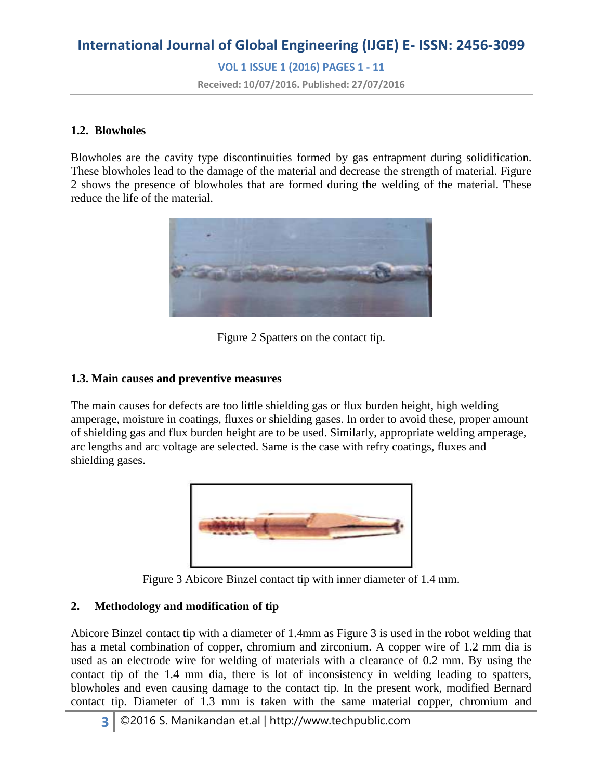**VOL 1 ISSUE 1 (2016) PAGES 1 - 11**

**Received: 10/07/2016. Published: 27/07/2016**

#### **1.2. Blowholes**

Blowholes are the cavity type discontinuities formed by gas entrapment during solidification. These blowholes lead to the damage of the material and decrease the strength of material. Figure 2 shows the presence of blowholes that are formed during the welding of the material. These reduce the life of the material.



Figure 2 Spatters on the contact tip.

### **1.3. Main causes and preventive measures**

The main causes for defects are too little shielding gas or flux burden height, high welding amperage, moisture in coatings, fluxes or shielding gases. In order to avoid these, proper amount of shielding gas and flux burden height are to be used. Similarly, appropriate welding amperage, arc lengths and arc voltage are selected. Same is the case with refry coatings, fluxes and shielding gases.



Figure 3 Abicore Binzel contact tip with inner diameter of 1.4 mm.

### **2. Methodology and modification of tip**

Abicore Binzel contact tip with a diameter of 1.4mm as Figure 3 is used in the robot welding that has a metal combination of copper, chromium and zirconium. A copper wire of 1.2 mm dia is used as an electrode wire for welding of materials with a clearance of 0.2 mm. By using the contact tip of the 1.4 mm dia, there is lot of inconsistency in welding leading to spatters, blowholes and even causing damage to the contact tip. In the present work, modified Bernard contact tip. Diameter of 1.3 mm is taken with the same material copper, chromium and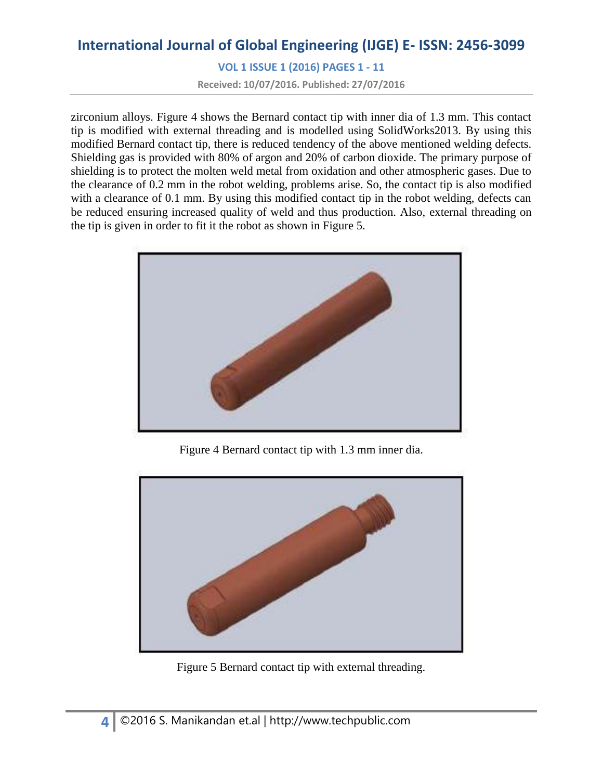**VOL 1 ISSUE 1 (2016) PAGES 1 - 11**

**Received: 10/07/2016. Published: 27/07/2016**

zirconium alloys. Figure 4 shows the Bernard contact tip with inner dia of 1.3 mm. This contact tip is modified with external threading and is modelled using SolidWorks2013. By using this modified Bernard contact tip, there is reduced tendency of the above mentioned welding defects. Shielding gas is provided with 80% of argon and 20% of carbon dioxide. The primary purpose of shielding is to protect the molten weld metal from oxidation and other atmospheric gases. Due to the clearance of 0.2 mm in the robot welding, problems arise. So, the contact tip is also modified with a clearance of 0.1 mm. By using this modified contact tip in the robot welding, defects can be reduced ensuring increased quality of weld and thus production. Also, external threading on the tip is given in order to fit it the robot as shown in Figure 5.



Figure 4 Bernard contact tip with 1.3 mm inner dia.



Figure 5 Bernard contact tip with external threading.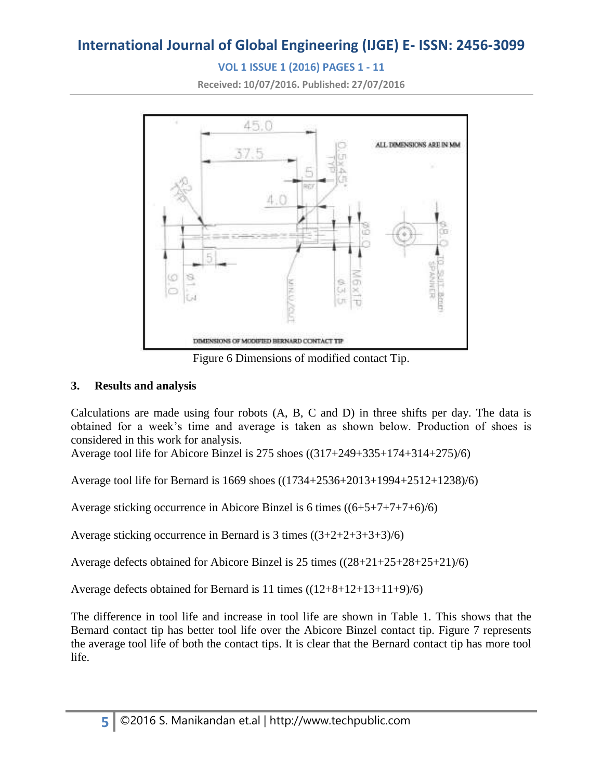# **VOL 1 ISSUE 1 (2016) PAGES 1 - 11**

**Received: 10/07/2016. Published: 27/07/2016**



Figure 6 Dimensions of modified contact Tip.

### **3. Results and analysis**

Calculations are made using four robots (A, B, C and D) in three shifts per day. The data is obtained for a week's time and average is taken as shown below. Production of shoes is considered in this work for analysis.

Average tool life for Abicore Binzel is 275 shoes ((317+249+335+174+314+275)/6)

Average tool life for Bernard is 1669 shoes ((1734+2536+2013+1994+2512+1238)/6)

Average sticking occurrence in Abicore Binzel is 6 times ((6+5+7+7+7+6)/6)

Average sticking occurrence in Bernard is 3 times  $((3+2+2+3+3+3)/6)$ 

Average defects obtained for Abicore Binzel is 25 times ((28+21+25+28+25+21)/6)

Average defects obtained for Bernard is 11 times ((12+8+12+13+11+9)/6)

The difference in tool life and increase in tool life are shown in Table 1. This shows that the Bernard contact tip has better tool life over the Abicore Binzel contact tip. Figure 7 represents the average tool life of both the contact tips. It is clear that the Bernard contact tip has more tool life.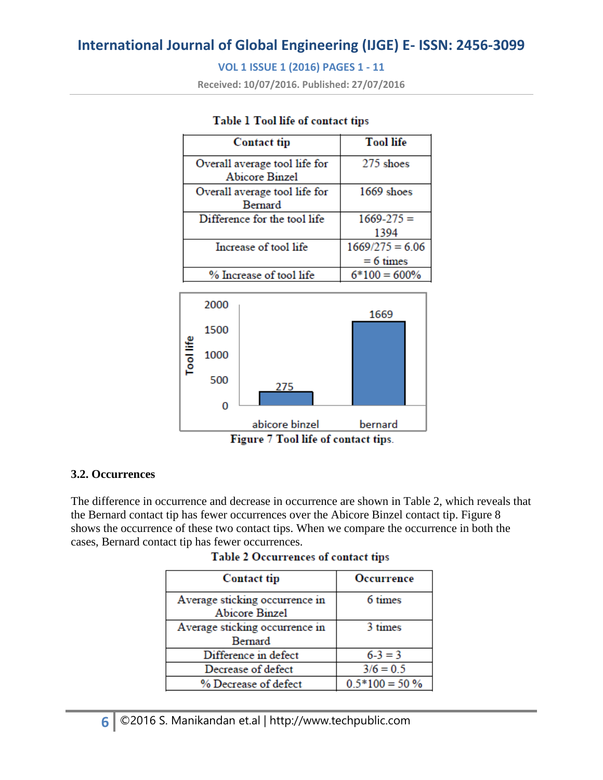## **VOL 1 ISSUE 1 (2016) PAGES 1 - 11**

**Received: 10/07/2016. Published: 27/07/2016**

| <b>Contact tip</b>                              | <b>Tool life</b>  |
|-------------------------------------------------|-------------------|
| Overall average tool life for<br>Abicore Binzel | 275 shoes         |
| Overall average tool life for                   | 1669 shoes        |
| Bernard                                         |                   |
| Difference for the tool life                    | $1669 - 275 =$    |
|                                                 | 1394              |
| Increase of tool life                           | $1669/275 = 6.06$ |
|                                                 | $= 6 \times$      |
| % Increase of tool life                         | $6*100 = 600\%$   |

### Table 1 Tool life of contact tips



### **3.2. Occurrences**

The difference in occurrence and decrease in occurrence are shown in Table 2, which reveals that the Bernard contact tip has fewer occurrences over the Abicore Binzel contact tip. Figure 8 shows the occurrence of these two contact tips. When we compare the occurrence in both the cases, Bernard contact tip has fewer occurrences.

| Table 2 Occurrences of contact tips |  |  |  |  |  |
|-------------------------------------|--|--|--|--|--|
|-------------------------------------|--|--|--|--|--|

| <b>Contact tip</b>                               | Occurrence       |
|--------------------------------------------------|------------------|
| Average sticking occurrence in<br>Abicore Binzel | 6 times          |
| Average sticking occurrence in<br>Bernard        | 3 times          |
| Difference in defect                             | $6 - 3 = 3$      |
| Decrease of defect                               | $3/6 = 0.5$      |
| % Decrease of defect                             | $0.5*100 = 50\%$ |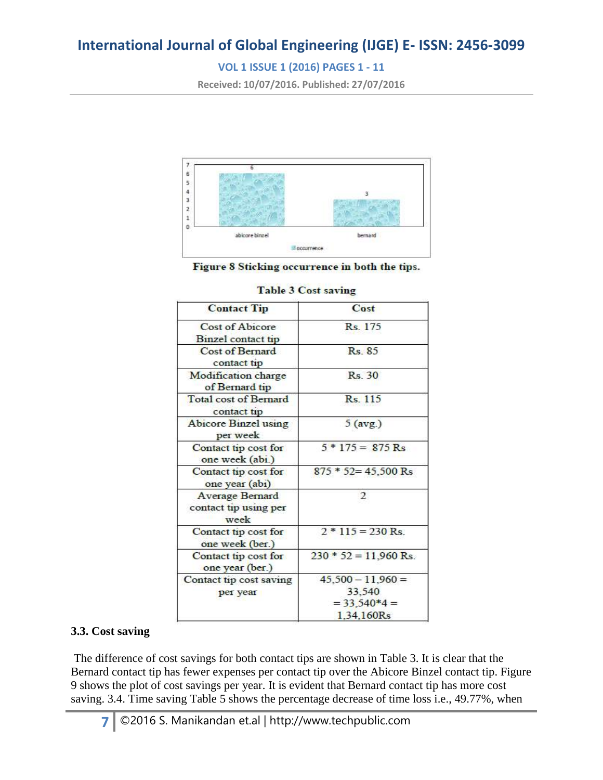# **VOL 1 ISSUE 1 (2016) PAGES 1 - 11**

**Received: 10/07/2016. Published: 27/07/2016**



Figure 8 Sticking occurrence in both the tips.

| <b>Contact Tip</b>                               | Cost                                                          |
|--------------------------------------------------|---------------------------------------------------------------|
| Cost of Abicore<br>Binzel contact tip            | R <sub>s</sub> 175                                            |
| Cost of Bernard<br>contact tip                   | $Rs$ $85$                                                     |
| Modification charge<br>of Bernard tip            | Rs. 30                                                        |
| <b>Total cost of Bernard</b><br>contact tip      | Rs. 115                                                       |
| <b>Abicore Binzel using</b><br>per week          | $5$ (avg.)                                                    |
| Contact tip cost for<br>one week (abi.)          | $5 * 175 = 875$ Rs                                            |
| Contact tip cost for<br>one year (abi)           | $875 * 52 = 45,500$ Rs                                        |
| Average Bernard<br>contact tip using per<br>week | $\overline{2}$                                                |
| Contact tip cost for<br>one week (ber.)          | $2 * 115 = 230$ Rs.                                           |
| Contact tip cost for<br>one year (ber.)          | $230 * 52 = 11,960$ Rs.                                       |
| Contact tip cost saving<br>per year              | $45,500 - 11,960 =$<br>33,540<br>$= 33,540*4 =$<br>1.34,160Rs |

#### **Table 3 Cost saving**

## **3.3. Cost saving**

The difference of cost savings for both contact tips are shown in Table 3. It is clear that the Bernard contact tip has fewer expenses per contact tip over the Abicore Binzel contact tip. Figure 9 shows the plot of cost savings per year. It is evident that Bernard contact tip has more cost saving. 3.4. Time saving Table 5 shows the percentage decrease of time loss i.e., 49.77%, when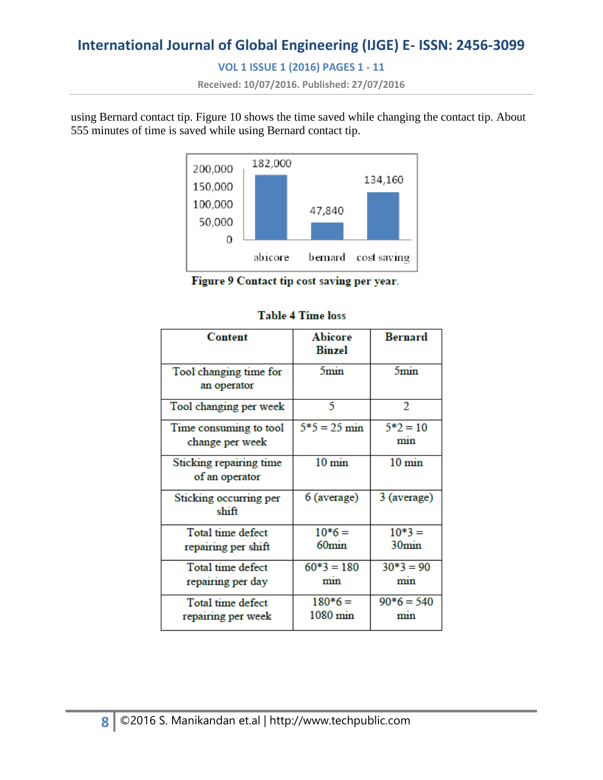# **VOL 1 ISSUE 1 (2016) PAGES 1 - 11**

**Received: 10/07/2016. Published: 27/07/2016**

using Bernard contact tip. Figure 10 shows the time saved while changing the contact tip. About 555 minutes of time is saved while using Bernard contact tip.



Figure 9 Contact tip cost saving per year.

| Content                                   | <b>Abicore</b><br><b>Binzel</b> | <b>Bernard</b>                 |
|-------------------------------------------|---------------------------------|--------------------------------|
| Tool changing time for<br>an operator     | 5 <sub>min</sub>                | 5 <sub>min</sub>               |
| Tool changing per week                    | 5                               | 2                              |
| Time consuming to tool<br>change per week | $5*5 = 25$ min                  | $5*2=10$<br>mın                |
| Sticking repairing time<br>of an operator | $10 \text{ min}$                | $10 \text{ min}$               |
| Sticking occurring per<br>shift           | 6 (average)                     | 3 (average)                    |
| Total time defect<br>repairing per shift  | $10*6=$<br>60 <sub>min</sub>    | $10*3 =$<br>30 <sub>min</sub>  |
| Total time defect<br>repairing per day    | $60*3 = 180$<br>mın             | $30*3 = 90$<br>mın             |
| Total time defect<br>repairing per week   | $180*6=$<br>$1080 \text{ min}$  | $90*6 = 540$<br>m <sub>1</sub> |

### **Table 4 Time loss**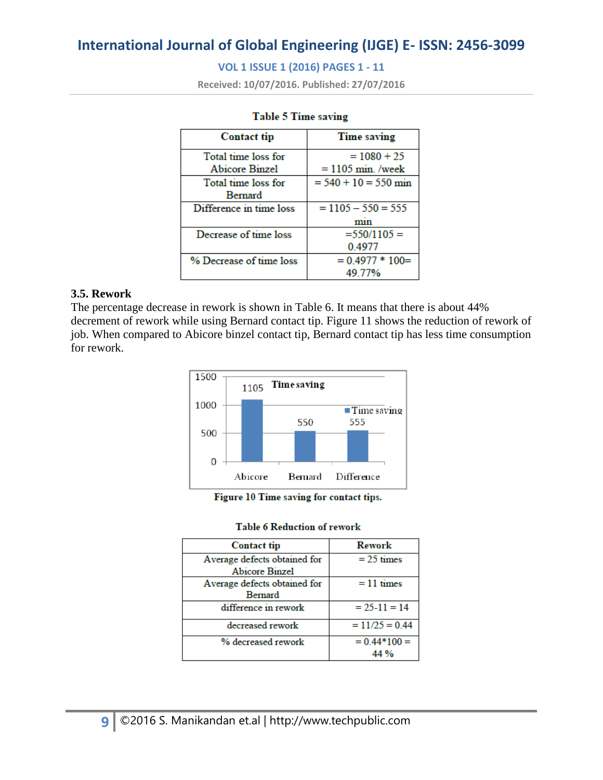## **VOL 1 ISSUE 1 (2016) PAGES 1 - 11**

**Received: 10/07/2016. Published: 27/07/2016**

| <b>Contact tip</b>      | <b>Time saving</b>     |
|-------------------------|------------------------|
| Total time loss for     | $= 1080 + 25$          |
| <b>Abicore Binzel</b>   | $= 1105$ min. /week    |
| Total time loss for     | $= 540 + 10 = 550$ min |
| Bernard                 |                        |
| Difference in time loss | $= 1105 - 550 = 555$   |
|                         | mın                    |
| Decrease of time loss   | $=550/1105=$           |
|                         | 0.4977                 |
| % Decrease of time loss | $= 0.4977 * 100 =$     |
|                         | 49.77%                 |

#### **Table 5 Time saving**

#### **3.5. Rework**

The percentage decrease in rework is shown in Table 6. It means that there is about 44% decrement of rework while using Bernard contact tip. Figure 11 shows the reduction of rework of job. When compared to Abicore binzel contact tip, Bernard contact tip has less time consumption for rework.



| Figure 10 Time saving for contact tips. |  |  |  |  |  |  |  |  |
|-----------------------------------------|--|--|--|--|--|--|--|--|
|-----------------------------------------|--|--|--|--|--|--|--|--|

#### **Table 6 Reduction of rework**

| <b>Contact tip</b>           | Rework           |
|------------------------------|------------------|
| Average defects obtained for | $= 25 \times$    |
| <b>Abicore Binzel</b>        |                  |
| Average defects obtained for | $= 11 \times$    |
| Bernard                      |                  |
| difference in rework         | $= 25 - 11 = 14$ |
| decreased rework             | $= 11/25 = 0.44$ |
| % decreased rework           | $= 0.44*100 =$   |
|                              | 44%              |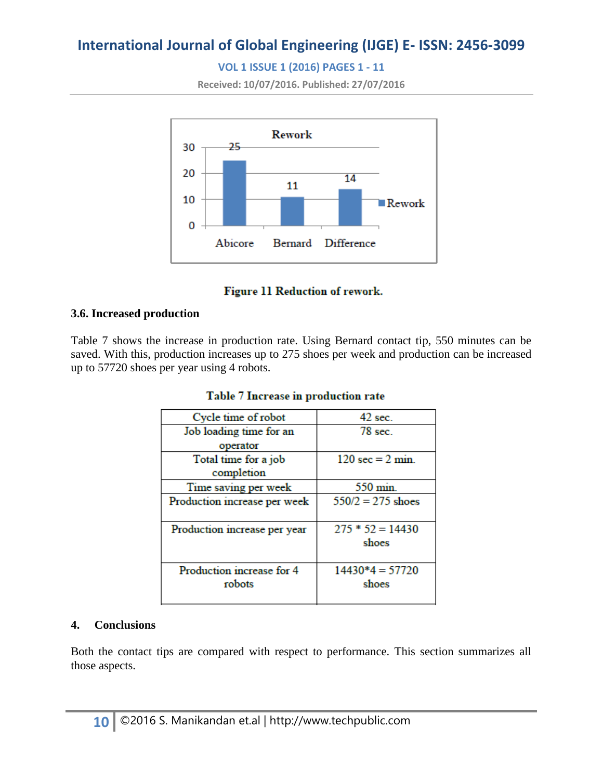# **VOL 1 ISSUE 1 (2016) PAGES 1 - 11**

**Received: 10/07/2016. Published: 27/07/2016**



## **Figure 11 Reduction of rework.**

### **3.6. Increased production**

Table 7 shows the increase in production rate. Using Bernard contact tip, 550 minutes can be saved. With this, production increases up to 275 shoes per week and production can be increased up to 57720 shoes per year using 4 robots.

| Cycle time of robot          | $42 \text{ sec}$                    |
|------------------------------|-------------------------------------|
| Job loading time for an      | $78$ sec.                           |
| operator                     |                                     |
| Total time for a job         | $120 \text{ sec} = 2 \text{ min}$ . |
| completion                   |                                     |
| Time saving per week         | $550 \text{ min}$ .                 |
| Production increase per week | $550/2 = 275$ shoes                 |
|                              |                                     |
| Production increase per year | $275 * 52 = 14430$                  |
|                              | shoes                               |
|                              |                                     |
| Production increase for 4    | $14430*4 = 57720$                   |
| robots                       | shoes                               |
|                              |                                     |

### Table 7 Increase in production rate

### **4. Conclusions**

Both the contact tips are compared with respect to performance. This section summarizes all those aspects.